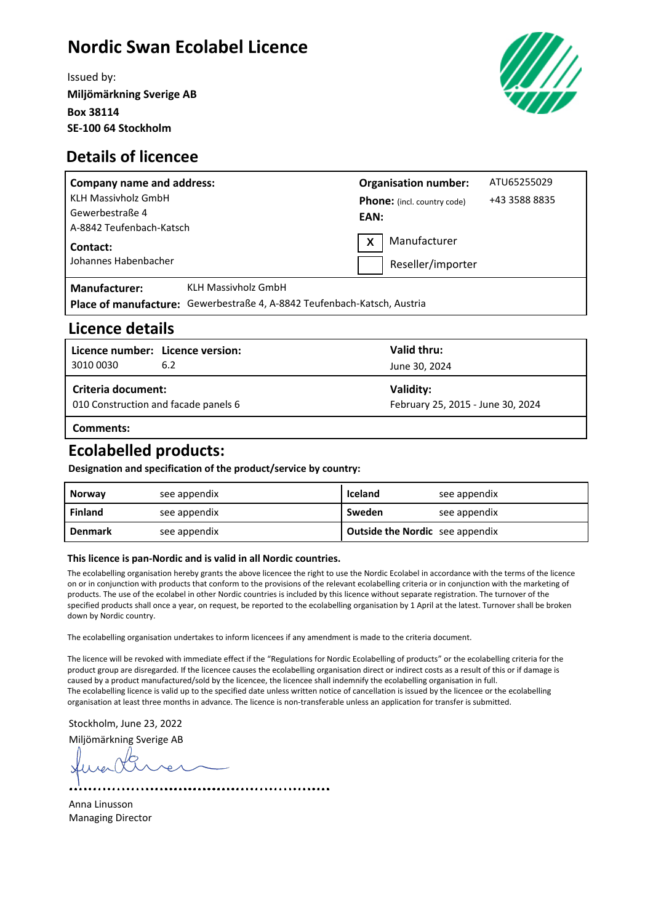# **Nordic Swan Ecolabel Licence**

Issued by: **Miljömärkning Sverige AB Box 38114 SE-100 64 Stockholm**



### **Details of licencee**

| <b>Company name and address:</b> |                                                                          |                   | <b>Organisation number:</b>        | ATU65255029   |
|----------------------------------|--------------------------------------------------------------------------|-------------------|------------------------------------|---------------|
| <b>KLH Massivholz GmbH</b>       |                                                                          |                   | <b>Phone:</b> (incl. country code) | +43 3588 8835 |
| Gewerbestraße 4                  |                                                                          | EAN:              |                                    |               |
| A-8842 Teufenbach-Katsch         |                                                                          | Manufacturer      |                                    |               |
| Contact:                         |                                                                          | X                 |                                    |               |
| Johannes Habenbacher             |                                                                          | Reseller/importer |                                    |               |
| <b>Manufacturer:</b>             | <b>KLH Massivholz GmbH</b>                                               |                   |                                    |               |
|                                  | Place of manufacture: Gewerbestraße 4, A-8842 Teufenbach-Katsch, Austria |                   |                                    |               |

### **Licence details**

| 3010 0030                                                  | Licence number: Licence version:<br>6.2 | Valid thru:<br>June 30, 2024                   |  |
|------------------------------------------------------------|-----------------------------------------|------------------------------------------------|--|
| Criteria document:<br>010 Construction and facade panels 6 |                                         | Validity:<br>February 25, 2015 - June 30, 2024 |  |
| Comments:                                                  |                                         |                                                |  |

# **Ecolabelled products:**

**Designation and specification of the product/service by country:**

| <b>Norway</b>  | see appendix | Iceland                                | see appendix |
|----------------|--------------|----------------------------------------|--------------|
| Finland        | see appendix | Sweden                                 | see appendix |
| <b>Denmark</b> | see appendix | <b>Outside the Nordic</b> see appendix |              |

#### **This licence is pan-Nordic and is valid in all Nordic countries.**

The ecolabelling organisation hereby grants the above licencee the right to use the Nordic Ecolabel in accordance with the terms of the licence on or in conjunction with products that conform to the provisions of the relevant ecolabelling criteria or in conjunction with the marketing of products. The use of the ecolabel in other Nordic countries is included by this licence without separate registration. The turnover of the specified products shall once a year, on request, be reported to the ecolabelling organisation by 1 April at the latest. Turnover shall be broken down by Nordic country.

The ecolabelling organisation undertakes to inform licencees if any amendment is made to the criteria document.

The licence will be revoked with immediate effect if the "Regulations for Nordic Ecolabelling of products" or the ecolabelling criteria for the product group are disregarded. If the licencee causes the ecolabelling organisation direct or indirect costs as a result of this or if damage is caused by a product manufactured/sold by the licencee, the licencee shall indemnify the ecolabelling organisation in full. The ecolabelling licence is valid up to the specified date unless written notice of cancellation is issued by the licencee or the ecolabelling organisation at least three months in advance. The licence is non-transferable unless an application for transfer is submitted.

Stockholm, June 23, 2022

Miljömärkning Sverige AB ....................................

Anna Linusson Managing Director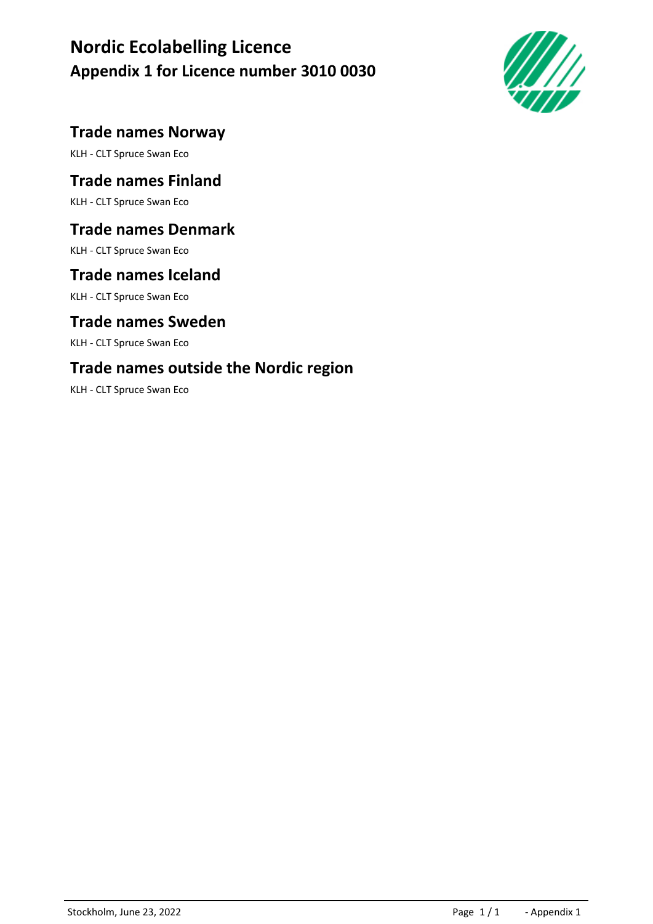# **Nordic Ecolabelling Licence Appendix 1 for Licence number 3010 0030**



# **Trade names Norway**

KLH - CLT Spruce Swan Eco

# **Trade names Finland**

KLH - CLT Spruce Swan Eco

# **Trade names Denmark**

KLH - CLT Spruce Swan Eco

# **Trade names Iceland**

KLH - CLT Spruce Swan Eco

### **Trade names Sweden**

KLH - CLT Spruce Swan Eco

# **Trade names outside the Nordic region**

KLH - CLT Spruce Swan Eco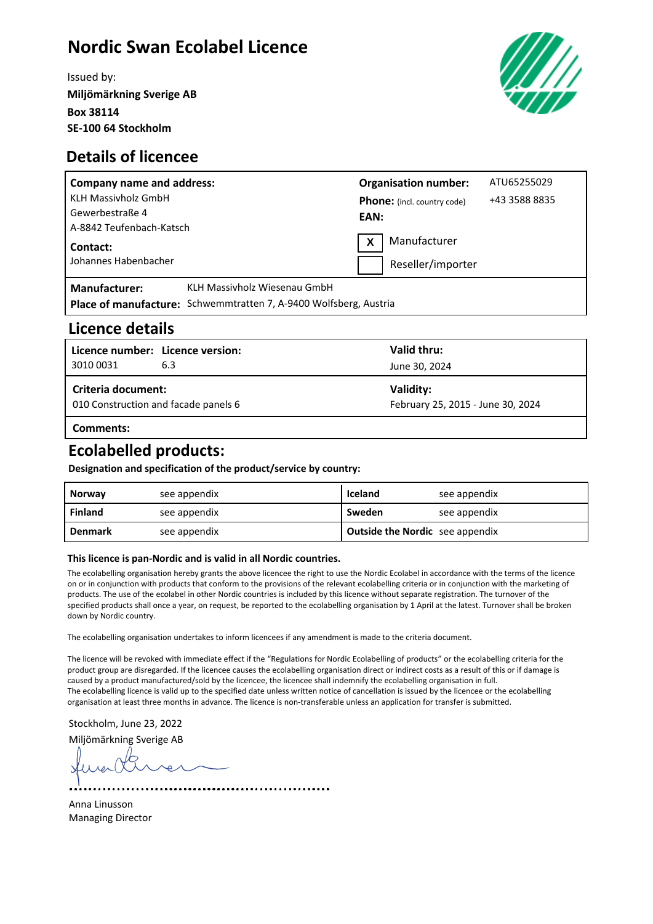# **Nordic Swan Ecolabel Licence**

Issued by: **Miljömärkning Sverige AB Box 38114 SE-100 64 Stockholm**



### **Details of licencee**

| <b>Company name and address:</b> |                                                                   |      | <b>Organisation number:</b>        | ATU65255029   |
|----------------------------------|-------------------------------------------------------------------|------|------------------------------------|---------------|
| <b>KLH Massivholz GmbH</b>       |                                                                   |      | <b>Phone:</b> (incl. country code) | +43 3588 8835 |
| Gewerbestraße 4                  |                                                                   | EAN: |                                    |               |
| A-8842 Teufenbach-Katsch         |                                                                   |      |                                    |               |
| Contact:                         |                                                                   | X    | Manufacturer                       |               |
| Johannes Habenbacher             |                                                                   |      | Reseller/importer                  |               |
| <b>Manufacturer:</b>             | KLH Massivholz Wiesenau GmbH                                      |      |                                    |               |
|                                  | Place of manufacture: Schwemmtratten 7, A-9400 Wolfsberg, Austria |      |                                    |               |

### **Licence details**

| Licence number: Licence version:<br>3010 0031              | 6.3 | Valid thru:<br>June 30, 2024                   |  |  |
|------------------------------------------------------------|-----|------------------------------------------------|--|--|
| Criteria document:<br>010 Construction and facade panels 6 |     | Validity:<br>February 25, 2015 - June 30, 2024 |  |  |
| Comments:                                                  |     |                                                |  |  |

# **Ecolabelled products:**

**Designation and specification of the product/service by country:**

| <b>Norway</b>  | see appendix | Iceland                                | see appendix |
|----------------|--------------|----------------------------------------|--------------|
| Finland        | see appendix | Sweden                                 | see appendix |
| <b>Denmark</b> | see appendix | <b>Outside the Nordic</b> see appendix |              |

#### **This licence is pan-Nordic and is valid in all Nordic countries.**

The ecolabelling organisation hereby grants the above licencee the right to use the Nordic Ecolabel in accordance with the terms of the licence on or in conjunction with products that conform to the provisions of the relevant ecolabelling criteria or in conjunction with the marketing of products. The use of the ecolabel in other Nordic countries is included by this licence without separate registration. The turnover of the specified products shall once a year, on request, be reported to the ecolabelling organisation by 1 April at the latest. Turnover shall be broken down by Nordic country.

The ecolabelling organisation undertakes to inform licencees if any amendment is made to the criteria document.

The licence will be revoked with immediate effect if the "Regulations for Nordic Ecolabelling of products" or the ecolabelling criteria for the product group are disregarded. If the licencee causes the ecolabelling organisation direct or indirect costs as a result of this or if damage is caused by a product manufactured/sold by the licencee, the licencee shall indemnify the ecolabelling organisation in full. The ecolabelling licence is valid up to the specified date unless written notice of cancellation is issued by the licencee or the ecolabelling organisation at least three months in advance. The licence is non-transferable unless an application for transfer is submitted.

Stockholm, June 23, 2022

Miljömärkning Sverige AB ....................................

Anna Linusson Managing Director